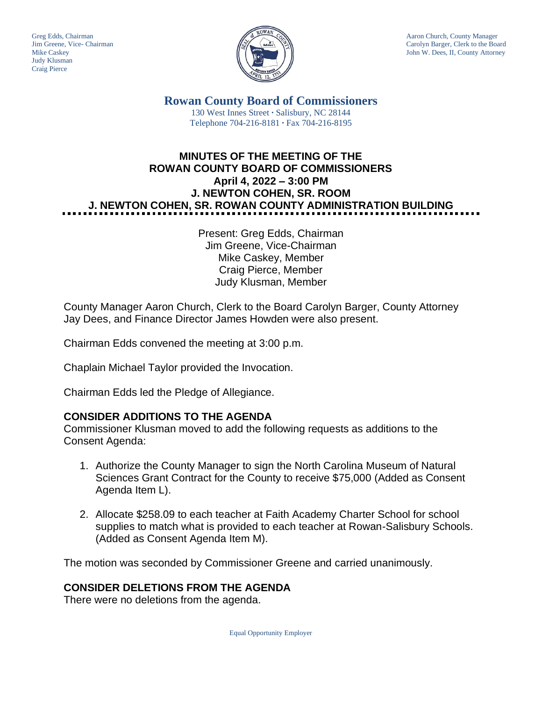Judy Klusman Craig Pierce



Greg Edds, Chairman Aaron Church, County Manager<br>Jim Greene, Vice- Chairman Aaron Church, County Manager and Aaron Church, County Manager and Aaron Church, County Manager Jim Greene, Vice- Chairman Carolyn Barger, Clerk to the Board Mike Caskev Carolyn Barger, Clerk to the Board Iohn W. Dees, II, County Attorney John W. Dees, II, County Attorney

> **Rowan County Board of Commissioners** 130 West Innes Street **∙** Salisbury, NC 28144 Telephone 704-216-8181 **∙** Fax 704-216-8195

# **MINUTES OF THE MEETING OF THE ROWAN COUNTY BOARD OF COMMISSIONERS April 4, 2022 – 3:00 PM J. NEWTON COHEN, SR. ROOM J. NEWTON COHEN, SR. ROWAN COUNTY ADMINISTRATION BUILDING**

Present: Greg Edds, Chairman Jim Greene, Vice-Chairman Mike Caskey, Member Craig Pierce, Member Judy Klusman, Member

County Manager Aaron Church, Clerk to the Board Carolyn Barger, County Attorney Jay Dees, and Finance Director James Howden were also present.

Chairman Edds convened the meeting at 3:00 p.m.

Chaplain Michael Taylor provided the Invocation.

Chairman Edds led the Pledge of Allegiance.

## **CONSIDER ADDITIONS TO THE AGENDA**

Commissioner Klusman moved to add the following requests as additions to the Consent Agenda:

- 1. Authorize the County Manager to sign the North Carolina Museum of Natural Sciences Grant Contract for the County to receive \$75,000 (Added as Consent Agenda Item L).
- 2. Allocate \$258.09 to each teacher at Faith Academy Charter School for school supplies to match what is provided to each teacher at Rowan-Salisbury Schools. (Added as Consent Agenda Item M).

The motion was seconded by Commissioner Greene and carried unanimously.

## **CONSIDER DELETIONS FROM THE AGENDA**

There were no deletions from the agenda.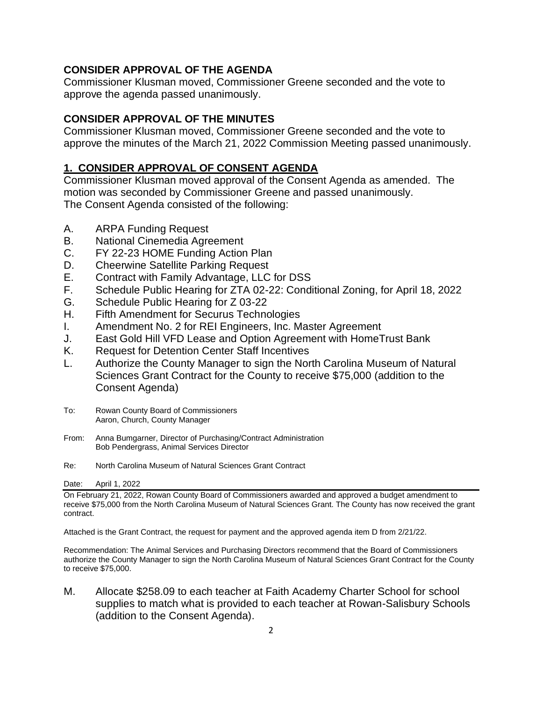## **CONSIDER APPROVAL OF THE AGENDA**

Commissioner Klusman moved, Commissioner Greene seconded and the vote to approve the agenda passed unanimously.

## **CONSIDER APPROVAL OF THE MINUTES**

Commissioner Klusman moved, Commissioner Greene seconded and the vote to approve the minutes of the March 21, 2022 Commission Meeting passed unanimously.

## **1. CONSIDER APPROVAL OF CONSENT AGENDA**

Commissioner Klusman moved approval of the Consent Agenda as amended. The motion was seconded by Commissioner Greene and passed unanimously. The Consent Agenda consisted of the following:

- A. ARPA Funding Request
- B. National Cinemedia Agreement
- C. FY 22-23 HOME Funding Action Plan
- D. Cheerwine Satellite Parking Request
- E. Contract with Family Advantage, LLC for DSS
- F. Schedule Public Hearing for ZTA 02-22: Conditional Zoning, for April 18, 2022
- G. Schedule Public Hearing for Z 03-22
- H. Fifth Amendment for Securus Technologies
- I. Amendment No. 2 for REI Engineers, Inc. Master Agreement
- J. East Gold Hill VFD Lease and Option Agreement with HomeTrust Bank
- K. Request for Detention Center Staff Incentives
- L. Authorize the County Manager to sign the North Carolina Museum of Natural Sciences Grant Contract for the County to receive \$75,000 (addition to the Consent Agenda)
- To: Rowan County Board of Commissioners Aaron, Church, County Manager
- From: Anna Bumgarner, Director of Purchasing/Contract Administration Bob Pendergrass, Animal Services Director
- Re: North Carolina Museum of Natural Sciences Grant Contract

Date: April 1, 2022

On February 21, 2022, Rowan County Board of Commissioners awarded and approved a budget amendment to receive \$75,000 from the North Carolina Museum of Natural Sciences Grant. The County has now received the grant contract.

Attached is the Grant Contract, the request for payment and the approved agenda item D from 2/21/22.

Recommendation: The Animal Services and Purchasing Directors recommend that the Board of Commissioners authorize the County Manager to sign the North Carolina Museum of Natural Sciences Grant Contract for the County to receive \$75,000.

M. Allocate \$258.09 to each teacher at Faith Academy Charter School for school supplies to match what is provided to each teacher at Rowan-Salisbury Schools (addition to the Consent Agenda).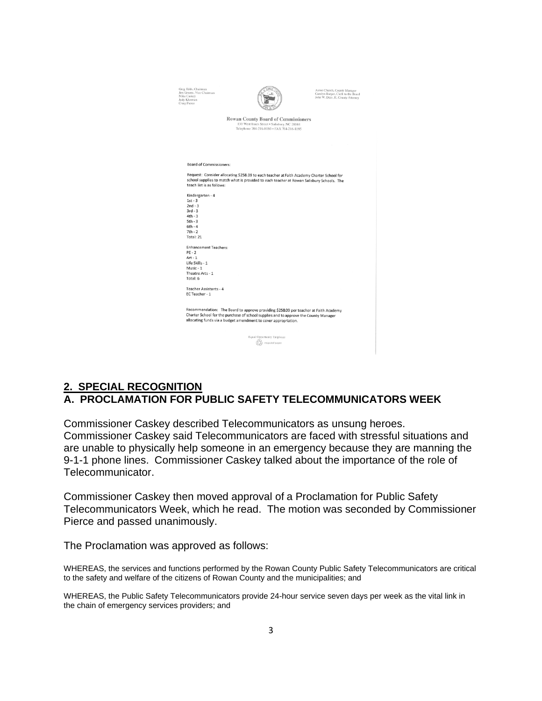| Greg Edds, Chairman<br>Jim Greene, Vice-Chairman<br>Mike Caskey<br>Judy Klusman<br>Craig Pierce                                                                                                                                                 |                                                                                                                                                                                        | Aaron Church, County Manager<br>Carolyn Barger, Clerk to the Board<br>John W. Dees, II, County Attorney |
|-------------------------------------------------------------------------------------------------------------------------------------------------------------------------------------------------------------------------------------------------|----------------------------------------------------------------------------------------------------------------------------------------------------------------------------------------|---------------------------------------------------------------------------------------------------------|
|                                                                                                                                                                                                                                                 | <b>Rowan County Board of Commissioners</b><br>130 West Innes Street . Salisbury, NC 28144<br>Telephone 704-216-8180 · FAX 704-216-8195                                                 |                                                                                                         |
|                                                                                                                                                                                                                                                 |                                                                                                                                                                                        |                                                                                                         |
| Board of Commissioners:                                                                                                                                                                                                                         |                                                                                                                                                                                        |                                                                                                         |
| teach list is as follows:                                                                                                                                                                                                                       | Request: Consider allocating \$258.09 to each teacher at Faith Academy Charter School for<br>school supplies to match what is provided to each teacher at Rowan Salisbury Schools. The |                                                                                                         |
| Kindergarten - 4                                                                                                                                                                                                                                |                                                                                                                                                                                        |                                                                                                         |
| $1st - 3$                                                                                                                                                                                                                                       |                                                                                                                                                                                        |                                                                                                         |
| $2nd - 3$                                                                                                                                                                                                                                       |                                                                                                                                                                                        |                                                                                                         |
| $3rd - 3$                                                                                                                                                                                                                                       |                                                                                                                                                                                        |                                                                                                         |
| $4th - 3$                                                                                                                                                                                                                                       |                                                                                                                                                                                        |                                                                                                         |
| $5th - 3$                                                                                                                                                                                                                                       |                                                                                                                                                                                        |                                                                                                         |
| $6th - 4$                                                                                                                                                                                                                                       |                                                                                                                                                                                        |                                                                                                         |
| $7th - 2$                                                                                                                                                                                                                                       |                                                                                                                                                                                        |                                                                                                         |
| Total: 21                                                                                                                                                                                                                                       |                                                                                                                                                                                        |                                                                                                         |
| <b>Enhancement Teachers:</b>                                                                                                                                                                                                                    |                                                                                                                                                                                        |                                                                                                         |
| $PE - 2$                                                                                                                                                                                                                                        |                                                                                                                                                                                        |                                                                                                         |
| $Art - 1$                                                                                                                                                                                                                                       |                                                                                                                                                                                        |                                                                                                         |
| Life Skills - 1                                                                                                                                                                                                                                 |                                                                                                                                                                                        |                                                                                                         |
| Music - 1                                                                                                                                                                                                                                       |                                                                                                                                                                                        |                                                                                                         |
| Theatre Arts - 1                                                                                                                                                                                                                                |                                                                                                                                                                                        |                                                                                                         |
| Total: 6                                                                                                                                                                                                                                        |                                                                                                                                                                                        |                                                                                                         |
| Teacher Assistants - 4<br>EC Teacher - 1                                                                                                                                                                                                        |                                                                                                                                                                                        |                                                                                                         |
| Recommendation: The Board to approve providing \$258.09 per teacher at Faith Academy<br>Charter School for the purchase of school supplies and to approve the County Manager<br>allocating funds via a budget amendment to cover appropriation. |                                                                                                                                                                                        |                                                                                                         |
|                                                                                                                                                                                                                                                 |                                                                                                                                                                                        |                                                                                                         |
|                                                                                                                                                                                                                                                 | Equal Opportunity Employer                                                                                                                                                             |                                                                                                         |
|                                                                                                                                                                                                                                                 | recycled paper                                                                                                                                                                         |                                                                                                         |
|                                                                                                                                                                                                                                                 |                                                                                                                                                                                        |                                                                                                         |
|                                                                                                                                                                                                                                                 |                                                                                                                                                                                        |                                                                                                         |

## **2. SPECIAL RECOGNITION A. PROCLAMATION FOR PUBLIC SAFETY TELECOMMUNICATORS WEEK**

Commissioner Caskey described Telecommunicators as unsung heroes. Commissioner Caskey said Telecommunicators are faced with stressful situations and are unable to physically help someone in an emergency because they are manning the 9-1-1 phone lines. Commissioner Caskey talked about the importance of the role of Telecommunicator.

Commissioner Caskey then moved approval of a Proclamation for Public Safety Telecommunicators Week, which he read. The motion was seconded by Commissioner Pierce and passed unanimously.

The Proclamation was approved as follows:

WHEREAS, the services and functions performed by the Rowan County Public Safety Telecommunicators are critical to the safety and welfare of the citizens of Rowan County and the municipalities; and

WHEREAS, the Public Safety Telecommunicators provide 24-hour service seven days per week as the vital link in the chain of emergency services providers; and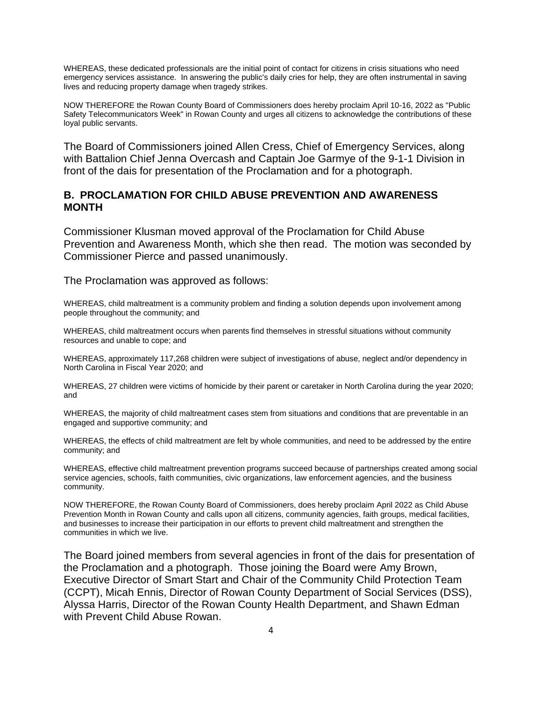WHEREAS, these dedicated professionals are the initial point of contact for citizens in crisis situations who need emergency services assistance. In answering the public's daily cries for help, they are often instrumental in saving lives and reducing property damage when tragedy strikes.

NOW THEREFORE the Rowan County Board of Commissioners does hereby proclaim April 10-16, 2022 as "Public Safety Telecommunicators Week" in Rowan County and urges all citizens to acknowledge the contributions of these loyal public servants.

The Board of Commissioners joined Allen Cress, Chief of Emergency Services, along with Battalion Chief Jenna Overcash and Captain Joe Garmye of the 9-1-1 Division in front of the dais for presentation of the Proclamation and for a photograph.

### **B. PROCLAMATION FOR CHILD ABUSE PREVENTION AND AWARENESS MONTH**

Commissioner Klusman moved approval of the Proclamation for Child Abuse Prevention and Awareness Month, which she then read. The motion was seconded by Commissioner Pierce and passed unanimously.

The Proclamation was approved as follows:

WHEREAS, child maltreatment is a community problem and finding a solution depends upon involvement among people throughout the community; and

WHEREAS, child maltreatment occurs when parents find themselves in stressful situations without community resources and unable to cope; and

WHEREAS, approximately 117,268 children were subject of investigations of abuse, neglect and/or dependency in North Carolina in Fiscal Year 2020; and

WHEREAS, 27 children were victims of homicide by their parent or caretaker in North Carolina during the year 2020; and

WHEREAS, the majority of child maltreatment cases stem from situations and conditions that are preventable in an engaged and supportive community; and

WHEREAS, the effects of child maltreatment are felt by whole communities, and need to be addressed by the entire community; and

WHEREAS, effective child maltreatment prevention programs succeed because of partnerships created among social service agencies, schools, faith communities, civic organizations, law enforcement agencies, and the business community.

NOW THEREFORE, the Rowan County Board of Commissioners, does hereby proclaim April 2022 as Child Abuse Prevention Month in Rowan County and calls upon all citizens, community agencies, faith groups, medical facilities, and businesses to increase their participation in our efforts to prevent child maltreatment and strengthen the communities in which we live.

The Board joined members from several agencies in front of the dais for presentation of the Proclamation and a photograph. Those joining the Board were Amy Brown, Executive Director of Smart Start and Chair of the Community Child Protection Team (CCPT), Micah Ennis, Director of Rowan County Department of Social Services (DSS), Alyssa Harris, Director of the Rowan County Health Department, and Shawn Edman with Prevent Child Abuse Rowan.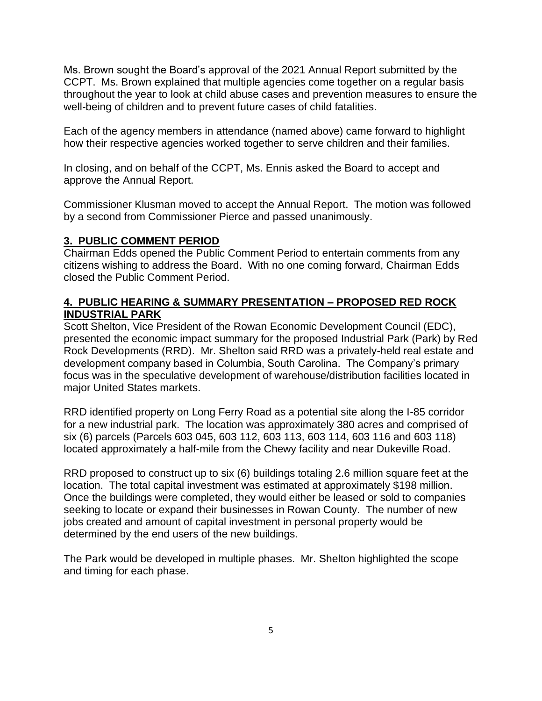Ms. Brown sought the Board's approval of the 2021 Annual Report submitted by the CCPT. Ms. Brown explained that multiple agencies come together on a regular basis throughout the year to look at child abuse cases and prevention measures to ensure the well-being of children and to prevent future cases of child fatalities.

Each of the agency members in attendance (named above) came forward to highlight how their respective agencies worked together to serve children and their families.

In closing, and on behalf of the CCPT, Ms. Ennis asked the Board to accept and approve the Annual Report.

Commissioner Klusman moved to accept the Annual Report. The motion was followed by a second from Commissioner Pierce and passed unanimously.

## **3. PUBLIC COMMENT PERIOD**

Chairman Edds opened the Public Comment Period to entertain comments from any citizens wishing to address the Board. With no one coming forward, Chairman Edds closed the Public Comment Period.

## **4. PUBLIC HEARING & SUMMARY PRESENTATION – PROPOSED RED ROCK INDUSTRIAL PARK**

Scott Shelton, Vice President of the Rowan Economic Development Council (EDC), presented the economic impact summary for the proposed Industrial Park (Park) by Red Rock Developments (RRD). Mr. Shelton said RRD was a privately-held real estate and development company based in Columbia, South Carolina. The Company's primary focus was in the speculative development of warehouse/distribution facilities located in major United States markets.

RRD identified property on Long Ferry Road as a potential site along the I-85 corridor for a new industrial park. The location was approximately 380 acres and comprised of six (6) parcels (Parcels 603 045, 603 112, 603 113, 603 114, 603 116 and 603 118) located approximately a half-mile from the Chewy facility and near Dukeville Road.

RRD proposed to construct up to six (6) buildings totaling 2.6 million square feet at the location. The total capital investment was estimated at approximately \$198 million. Once the buildings were completed, they would either be leased or sold to companies seeking to locate or expand their businesses in Rowan County. The number of new jobs created and amount of capital investment in personal property would be determined by the end users of the new buildings.

The Park would be developed in multiple phases. Mr. Shelton highlighted the scope and timing for each phase.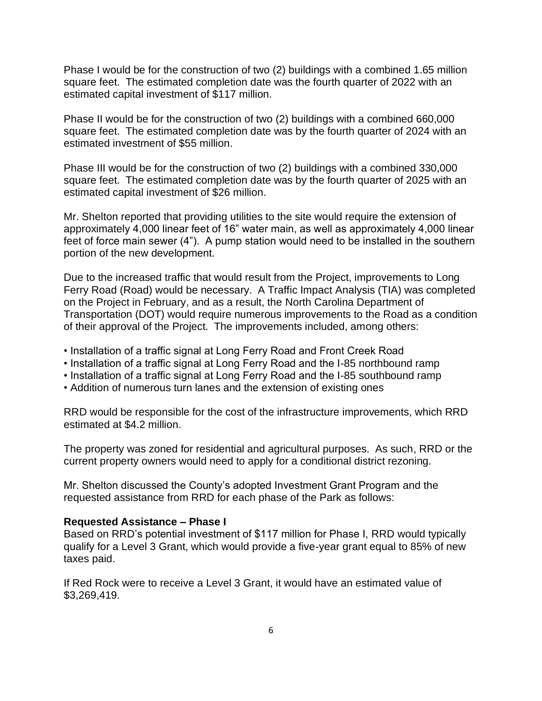Phase I would be for the construction of two (2) buildings with a combined 1.65 million square feet. The estimated completion date was the fourth quarter of 2022 with an estimated capital investment of \$117 million.

Phase II would be for the construction of two (2) buildings with a combined 660,000 square feet. The estimated completion date was by the fourth quarter of 2024 with an estimated investment of \$55 million.

Phase III would be for the construction of two (2) buildings with a combined 330,000 square feet. The estimated completion date was by the fourth quarter of 2025 with an estimated capital investment of \$26 million.

Mr. Shelton reported that providing utilities to the site would require the extension of approximately 4,000 linear feet of 16" water main, as well as approximately 4,000 linear feet of force main sewer (4"). A pump station would need to be installed in the southern portion of the new development.

Due to the increased traffic that would result from the Project, improvements to Long Ferry Road (Road) would be necessary. A Traffic Impact Analysis (TIA) was completed on the Project in February, and as a result, the North Carolina Department of Transportation (DOT) would require numerous improvements to the Road as a condition of their approval of the Project. The improvements included, among others:

- Installation of a traffic signal at Long Ferry Road and Front Creek Road
- Installation of a traffic signal at Long Ferry Road and the I-85 northbound ramp
- Installation of a traffic signal at Long Ferry Road and the I-85 southbound ramp
- Addition of numerous turn lanes and the extension of existing ones

RRD would be responsible for the cost of the infrastructure improvements, which RRD estimated at \$4.2 million.

The property was zoned for residential and agricultural purposes. As such, RRD or the current property owners would need to apply for a conditional district rezoning.

Mr. Shelton discussed the County's adopted Investment Grant Program and the requested assistance from RRD for each phase of the Park as follows:

#### **Requested Assistance – Phase I**

Based on RRD's potential investment of \$117 million for Phase I, RRD would typically qualify for a Level 3 Grant, which would provide a five-year grant equal to 85% of new taxes paid.

If Red Rock were to receive a Level 3 Grant, it would have an estimated value of \$3,269,419.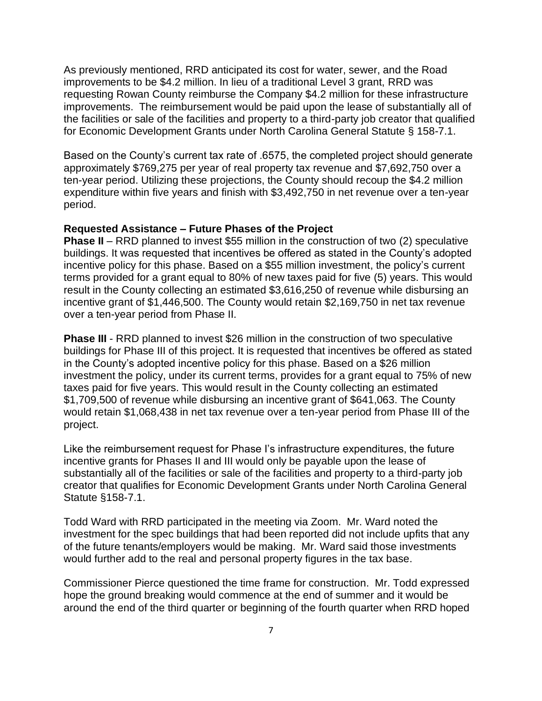As previously mentioned, RRD anticipated its cost for water, sewer, and the Road improvements to be \$4.2 million. In lieu of a traditional Level 3 grant, RRD was requesting Rowan County reimburse the Company \$4.2 million for these infrastructure improvements. The reimbursement would be paid upon the lease of substantially all of the facilities or sale of the facilities and property to a third-party job creator that qualified for Economic Development Grants under North Carolina General Statute § 158-7.1.

Based on the County's current tax rate of .6575, the completed project should generate approximately \$769,275 per year of real property tax revenue and \$7,692,750 over a ten-year period. Utilizing these projections, the County should recoup the \$4.2 million expenditure within five years and finish with \$3,492,750 in net revenue over a ten-year period.

### **Requested Assistance – Future Phases of the Project**

**Phase II** – RRD planned to invest \$55 million in the construction of two (2) speculative buildings. It was requested that incentives be offered as stated in the County's adopted incentive policy for this phase. Based on a \$55 million investment, the policy's current terms provided for a grant equal to 80% of new taxes paid for five (5) years. This would result in the County collecting an estimated \$3,616,250 of revenue while disbursing an incentive grant of \$1,446,500. The County would retain \$2,169,750 in net tax revenue over a ten-year period from Phase II.

**Phase III** - RRD planned to invest \$26 million in the construction of two speculative buildings for Phase III of this project. It is requested that incentives be offered as stated in the County's adopted incentive policy for this phase. Based on a \$26 million investment the policy, under its current terms, provides for a grant equal to 75% of new taxes paid for five years. This would result in the County collecting an estimated \$1,709,500 of revenue while disbursing an incentive grant of \$641,063. The County would retain \$1,068,438 in net tax revenue over a ten-year period from Phase III of the project.

Like the reimbursement request for Phase I's infrastructure expenditures, the future incentive grants for Phases II and III would only be payable upon the lease of substantially all of the facilities or sale of the facilities and property to a third-party job creator that qualifies for Economic Development Grants under North Carolina General Statute §158-7.1.

Todd Ward with RRD participated in the meeting via Zoom. Mr. Ward noted the investment for the spec buildings that had been reported did not include upfits that any of the future tenants/employers would be making. Mr. Ward said those investments would further add to the real and personal property figures in the tax base.

Commissioner Pierce questioned the time frame for construction. Mr. Todd expressed hope the ground breaking would commence at the end of summer and it would be around the end of the third quarter or beginning of the fourth quarter when RRD hoped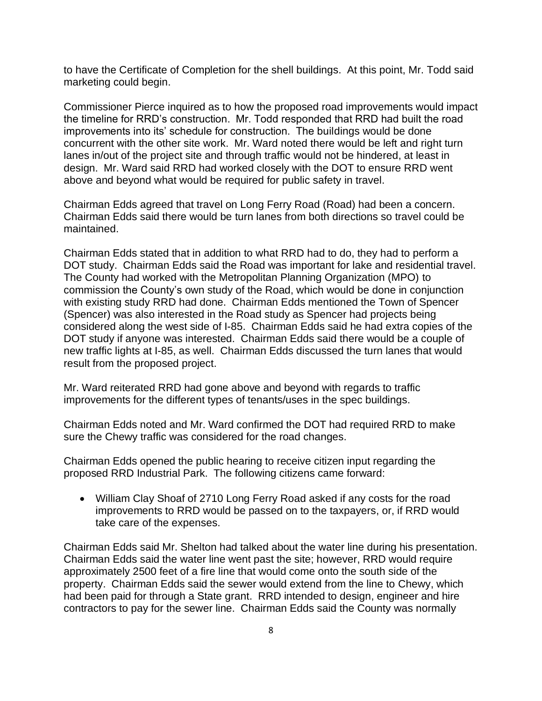to have the Certificate of Completion for the shell buildings. At this point, Mr. Todd said marketing could begin.

Commissioner Pierce inquired as to how the proposed road improvements would impact the timeline for RRD's construction. Mr. Todd responded that RRD had built the road improvements into its' schedule for construction. The buildings would be done concurrent with the other site work. Mr. Ward noted there would be left and right turn lanes in/out of the project site and through traffic would not be hindered, at least in design. Mr. Ward said RRD had worked closely with the DOT to ensure RRD went above and beyond what would be required for public safety in travel.

Chairman Edds agreed that travel on Long Ferry Road (Road) had been a concern. Chairman Edds said there would be turn lanes from both directions so travel could be maintained.

Chairman Edds stated that in addition to what RRD had to do, they had to perform a DOT study. Chairman Edds said the Road was important for lake and residential travel. The County had worked with the Metropolitan Planning Organization (MPO) to commission the County's own study of the Road, which would be done in conjunction with existing study RRD had done. Chairman Edds mentioned the Town of Spencer (Spencer) was also interested in the Road study as Spencer had projects being considered along the west side of I-85. Chairman Edds said he had extra copies of the DOT study if anyone was interested. Chairman Edds said there would be a couple of new traffic lights at I-85, as well. Chairman Edds discussed the turn lanes that would result from the proposed project.

Mr. Ward reiterated RRD had gone above and beyond with regards to traffic improvements for the different types of tenants/uses in the spec buildings.

Chairman Edds noted and Mr. Ward confirmed the DOT had required RRD to make sure the Chewy traffic was considered for the road changes.

Chairman Edds opened the public hearing to receive citizen input regarding the proposed RRD Industrial Park. The following citizens came forward:

• William Clay Shoaf of 2710 Long Ferry Road asked if any costs for the road improvements to RRD would be passed on to the taxpayers, or, if RRD would take care of the expenses.

Chairman Edds said Mr. Shelton had talked about the water line during his presentation. Chairman Edds said the water line went past the site; however, RRD would require approximately 2500 feet of a fire line that would come onto the south side of the property. Chairman Edds said the sewer would extend from the line to Chewy, which had been paid for through a State grant. RRD intended to design, engineer and hire contractors to pay for the sewer line. Chairman Edds said the County was normally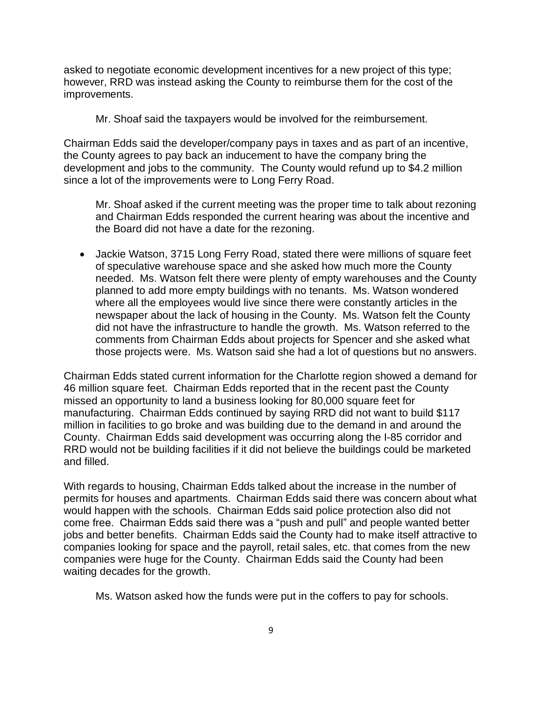asked to negotiate economic development incentives for a new project of this type; however, RRD was instead asking the County to reimburse them for the cost of the improvements.

Mr. Shoaf said the taxpayers would be involved for the reimbursement.

Chairman Edds said the developer/company pays in taxes and as part of an incentive, the County agrees to pay back an inducement to have the company bring the development and jobs to the community. The County would refund up to \$4.2 million since a lot of the improvements were to Long Ferry Road.

Mr. Shoaf asked if the current meeting was the proper time to talk about rezoning and Chairman Edds responded the current hearing was about the incentive and the Board did not have a date for the rezoning.

• Jackie Watson, 3715 Long Ferry Road, stated there were millions of square feet of speculative warehouse space and she asked how much more the County needed. Ms. Watson felt there were plenty of empty warehouses and the County planned to add more empty buildings with no tenants. Ms. Watson wondered where all the employees would live since there were constantly articles in the newspaper about the lack of housing in the County. Ms. Watson felt the County did not have the infrastructure to handle the growth. Ms. Watson referred to the comments from Chairman Edds about projects for Spencer and she asked what those projects were. Ms. Watson said she had a lot of questions but no answers.

Chairman Edds stated current information for the Charlotte region showed a demand for 46 million square feet. Chairman Edds reported that in the recent past the County missed an opportunity to land a business looking for 80,000 square feet for manufacturing. Chairman Edds continued by saying RRD did not want to build \$117 million in facilities to go broke and was building due to the demand in and around the County. Chairman Edds said development was occurring along the I-85 corridor and RRD would not be building facilities if it did not believe the buildings could be marketed and filled.

With regards to housing, Chairman Edds talked about the increase in the number of permits for houses and apartments. Chairman Edds said there was concern about what would happen with the schools. Chairman Edds said police protection also did not come free. Chairman Edds said there was a "push and pull" and people wanted better jobs and better benefits. Chairman Edds said the County had to make itself attractive to companies looking for space and the payroll, retail sales, etc. that comes from the new companies were huge for the County. Chairman Edds said the County had been waiting decades for the growth.

Ms. Watson asked how the funds were put in the coffers to pay for schools.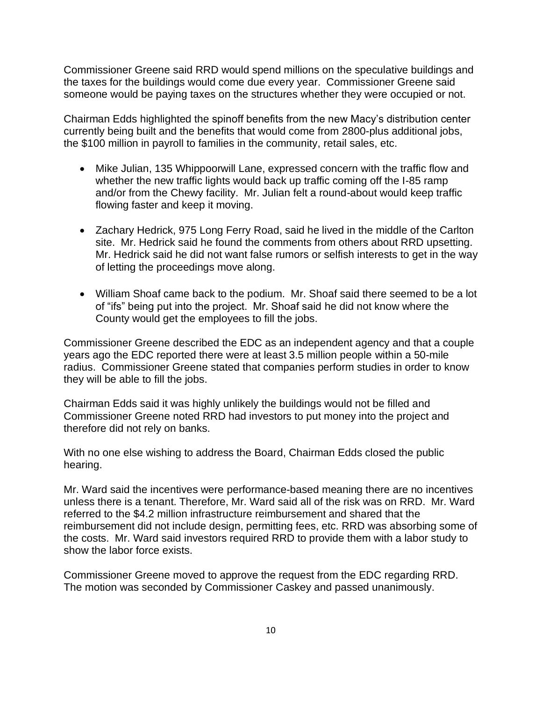Commissioner Greene said RRD would spend millions on the speculative buildings and the taxes for the buildings would come due every year. Commissioner Greene said someone would be paying taxes on the structures whether they were occupied or not.

Chairman Edds highlighted the spinoff benefits from the new Macy's distribution center currently being built and the benefits that would come from 2800-plus additional jobs, the \$100 million in payroll to families in the community, retail sales, etc.

- Mike Julian, 135 Whippoorwill Lane, expressed concern with the traffic flow and whether the new traffic lights would back up traffic coming off the I-85 ramp and/or from the Chewy facility. Mr. Julian felt a round-about would keep traffic flowing faster and keep it moving.
- Zachary Hedrick, 975 Long Ferry Road, said he lived in the middle of the Carlton site. Mr. Hedrick said he found the comments from others about RRD upsetting. Mr. Hedrick said he did not want false rumors or selfish interests to get in the way of letting the proceedings move along.
- William Shoaf came back to the podium. Mr. Shoaf said there seemed to be a lot of "ifs" being put into the project. Mr. Shoaf said he did not know where the County would get the employees to fill the jobs.

Commissioner Greene described the EDC as an independent agency and that a couple years ago the EDC reported there were at least 3.5 million people within a 50-mile radius. Commissioner Greene stated that companies perform studies in order to know they will be able to fill the jobs.

Chairman Edds said it was highly unlikely the buildings would not be filled and Commissioner Greene noted RRD had investors to put money into the project and therefore did not rely on banks.

With no one else wishing to address the Board, Chairman Edds closed the public hearing.

Mr. Ward said the incentives were performance-based meaning there are no incentives unless there is a tenant. Therefore, Mr. Ward said all of the risk was on RRD. Mr. Ward referred to the \$4.2 million infrastructure reimbursement and shared that the reimbursement did not include design, permitting fees, etc. RRD was absorbing some of the costs. Mr. Ward said investors required RRD to provide them with a labor study to show the labor force exists.

Commissioner Greene moved to approve the request from the EDC regarding RRD. The motion was seconded by Commissioner Caskey and passed unanimously.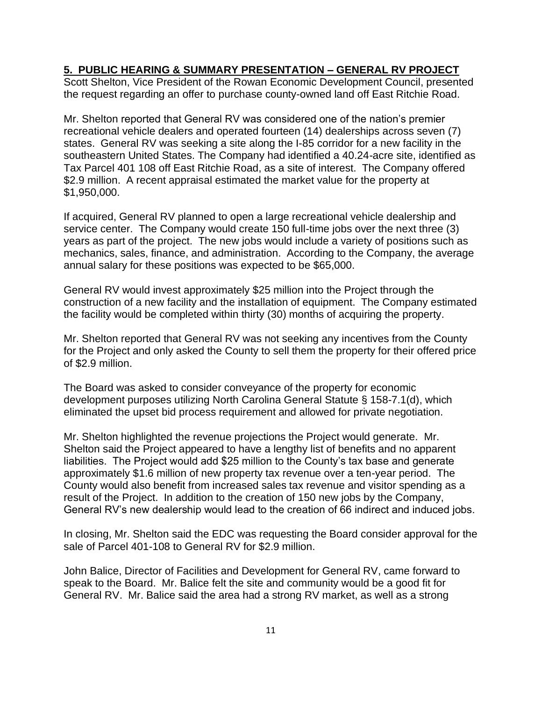### **5. PUBLIC HEARING & SUMMARY PRESENTATION – GENERAL RV PROJECT**

Scott Shelton, Vice President of the Rowan Economic Development Council, presented the request regarding an offer to purchase county-owned land off East Ritchie Road.

Mr. Shelton reported that General RV was considered one of the nation's premier recreational vehicle dealers and operated fourteen (14) dealerships across seven (7) states. General RV was seeking a site along the I-85 corridor for a new facility in the southeastern United States. The Company had identified a 40.24-acre site, identified as Tax Parcel 401 108 off East Ritchie Road, as a site of interest. The Company offered \$2.9 million. A recent appraisal estimated the market value for the property at \$1,950,000.

If acquired, General RV planned to open a large recreational vehicle dealership and service center. The Company would create 150 full-time jobs over the next three (3) years as part of the project. The new jobs would include a variety of positions such as mechanics, sales, finance, and administration. According to the Company, the average annual salary for these positions was expected to be \$65,000.

General RV would invest approximately \$25 million into the Project through the construction of a new facility and the installation of equipment. The Company estimated the facility would be completed within thirty (30) months of acquiring the property.

Mr. Shelton reported that General RV was not seeking any incentives from the County for the Project and only asked the County to sell them the property for their offered price of \$2.9 million.

The Board was asked to consider conveyance of the property for economic development purposes utilizing North Carolina General Statute § 158-7.1(d), which eliminated the upset bid process requirement and allowed for private negotiation.

Mr. Shelton highlighted the revenue projections the Project would generate. Mr. Shelton said the Project appeared to have a lengthy list of benefits and no apparent liabilities. The Project would add \$25 million to the County's tax base and generate approximately \$1.6 million of new property tax revenue over a ten-year period. The County would also benefit from increased sales tax revenue and visitor spending as a result of the Project. In addition to the creation of 150 new jobs by the Company, General RV's new dealership would lead to the creation of 66 indirect and induced jobs.

In closing, Mr. Shelton said the EDC was requesting the Board consider approval for the sale of Parcel 401-108 to General RV for \$2.9 million.

John Balice, Director of Facilities and Development for General RV, came forward to speak to the Board. Mr. Balice felt the site and community would be a good fit for General RV. Mr. Balice said the area had a strong RV market, as well as a strong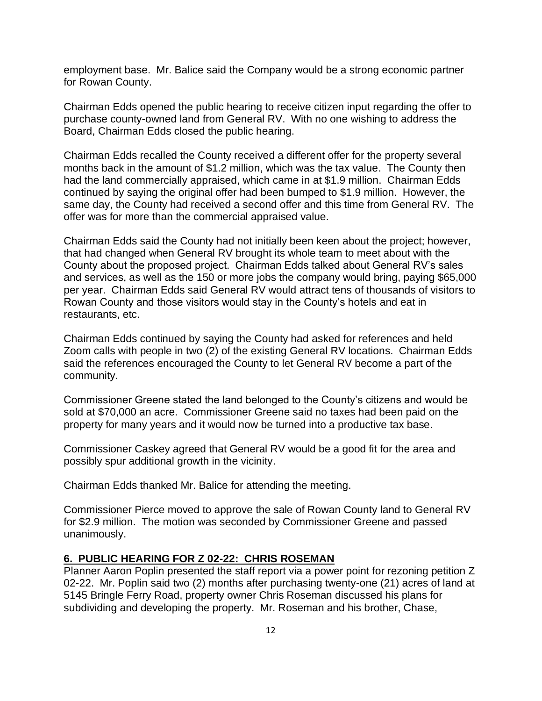employment base. Mr. Balice said the Company would be a strong economic partner for Rowan County.

Chairman Edds opened the public hearing to receive citizen input regarding the offer to purchase county-owned land from General RV. With no one wishing to address the Board, Chairman Edds closed the public hearing.

Chairman Edds recalled the County received a different offer for the property several months back in the amount of \$1.2 million, which was the tax value. The County then had the land commercially appraised, which came in at \$1.9 million. Chairman Edds continued by saying the original offer had been bumped to \$1.9 million. However, the same day, the County had received a second offer and this time from General RV. The offer was for more than the commercial appraised value.

Chairman Edds said the County had not initially been keen about the project; however, that had changed when General RV brought its whole team to meet about with the County about the proposed project. Chairman Edds talked about General RV's sales and services, as well as the 150 or more jobs the company would bring, paying \$65,000 per year. Chairman Edds said General RV would attract tens of thousands of visitors to Rowan County and those visitors would stay in the County's hotels and eat in restaurants, etc.

Chairman Edds continued by saying the County had asked for references and held Zoom calls with people in two (2) of the existing General RV locations. Chairman Edds said the references encouraged the County to let General RV become a part of the community.

Commissioner Greene stated the land belonged to the County's citizens and would be sold at \$70,000 an acre. Commissioner Greene said no taxes had been paid on the property for many years and it would now be turned into a productive tax base.

Commissioner Caskey agreed that General RV would be a good fit for the area and possibly spur additional growth in the vicinity.

Chairman Edds thanked Mr. Balice for attending the meeting.

Commissioner Pierce moved to approve the sale of Rowan County land to General RV for \$2.9 million. The motion was seconded by Commissioner Greene and passed unanimously.

#### **6. PUBLIC HEARING FOR Z 02-22: CHRIS ROSEMAN**

Planner Aaron Poplin presented the staff report via a power point for rezoning petition Z 02-22. Mr. Poplin said two (2) months after purchasing twenty-one (21) acres of land at 5145 Bringle Ferry Road, property owner Chris Roseman discussed his plans for subdividing and developing the property. Mr. Roseman and his brother, Chase,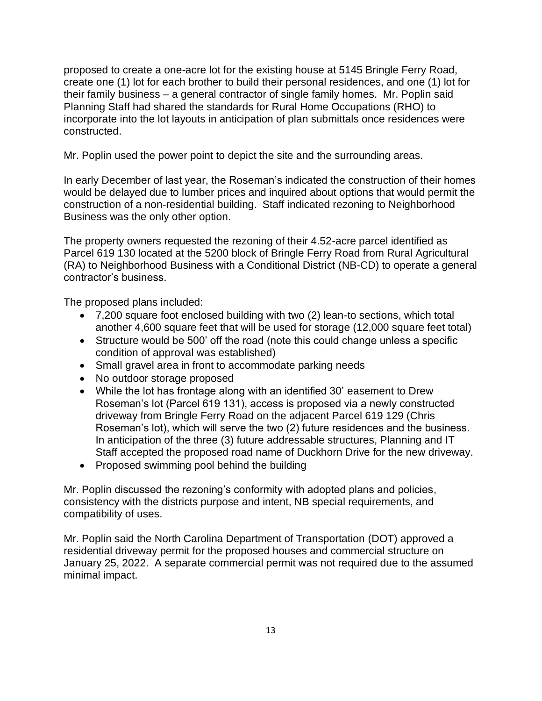proposed to create a one-acre lot for the existing house at 5145 Bringle Ferry Road, create one (1) lot for each brother to build their personal residences, and one (1) lot for their family business – a general contractor of single family homes. Mr. Poplin said Planning Staff had shared the standards for Rural Home Occupations (RHO) to incorporate into the lot layouts in anticipation of plan submittals once residences were constructed.

Mr. Poplin used the power point to depict the site and the surrounding areas.

In early December of last year, the Roseman's indicated the construction of their homes would be delayed due to lumber prices and inquired about options that would permit the construction of a non-residential building. Staff indicated rezoning to Neighborhood Business was the only other option.

The property owners requested the rezoning of their 4.52-acre parcel identified as Parcel 619 130 located at the 5200 block of Bringle Ferry Road from Rural Agricultural (RA) to Neighborhood Business with a Conditional District (NB-CD) to operate a general contractor's business.

The proposed plans included:

- 7,200 square foot enclosed building with two (2) lean-to sections, which total another 4,600 square feet that will be used for storage (12,000 square feet total)
- Structure would be 500' off the road (note this could change unless a specific condition of approval was established)
- Small gravel area in front to accommodate parking needs
- No outdoor storage proposed
- While the lot has frontage along with an identified 30' easement to Drew Roseman's lot (Parcel 619 131), access is proposed via a newly constructed driveway from Bringle Ferry Road on the adjacent Parcel 619 129 (Chris Roseman's lot), which will serve the two (2) future residences and the business. In anticipation of the three (3) future addressable structures, Planning and IT Staff accepted the proposed road name of Duckhorn Drive for the new driveway.
- Proposed swimming pool behind the building

Mr. Poplin discussed the rezoning's conformity with adopted plans and policies, consistency with the districts purpose and intent, NB special requirements, and compatibility of uses.

Mr. Poplin said the North Carolina Department of Transportation (DOT) approved a residential driveway permit for the proposed houses and commercial structure on January 25, 2022. A separate commercial permit was not required due to the assumed minimal impact.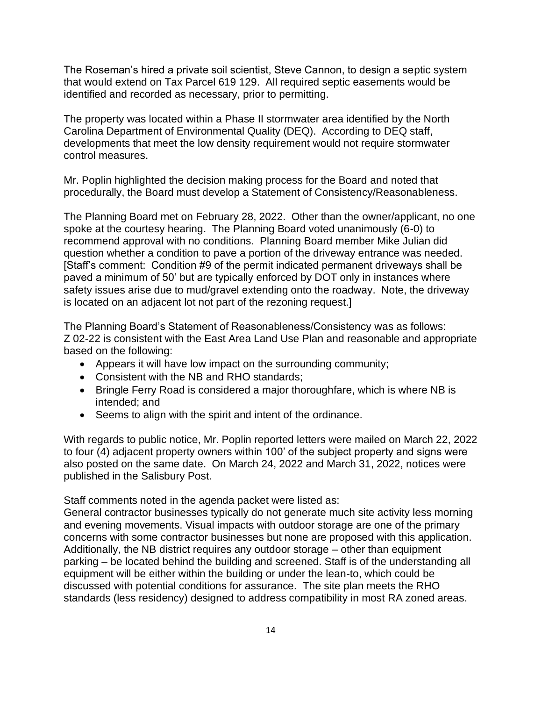The Roseman's hired a private soil scientist, Steve Cannon, to design a septic system that would extend on Tax Parcel 619 129. All required septic easements would be identified and recorded as necessary, prior to permitting.

The property was located within a Phase II stormwater area identified by the North Carolina Department of Environmental Quality (DEQ). According to DEQ staff, developments that meet the low density requirement would not require stormwater control measures.

Mr. Poplin highlighted the decision making process for the Board and noted that procedurally, the Board must develop a Statement of Consistency/Reasonableness.

The Planning Board met on February 28, 2022. Other than the owner/applicant, no one spoke at the courtesy hearing. The Planning Board voted unanimously (6-0) to recommend approval with no conditions. Planning Board member Mike Julian did question whether a condition to pave a portion of the driveway entrance was needed. [Staff's comment: Condition #9 of the permit indicated permanent driveways shall be paved a minimum of 50' but are typically enforced by DOT only in instances where safety issues arise due to mud/gravel extending onto the roadway. Note, the driveway is located on an adjacent lot not part of the rezoning request.]

The Planning Board's Statement of Reasonableness/Consistency was as follows: Z 02-22 is consistent with the East Area Land Use Plan and reasonable and appropriate based on the following:

- Appears it will have low impact on the surrounding community;
- Consistent with the NB and RHO standards;
- Bringle Ferry Road is considered a major thoroughfare, which is where NB is intended; and
- Seems to align with the spirit and intent of the ordinance.

With regards to public notice, Mr. Poplin reported letters were mailed on March 22, 2022 to four (4) adjacent property owners within 100' of the subject property and signs were also posted on the same date. On March 24, 2022 and March 31, 2022, notices were published in the Salisbury Post.

Staff comments noted in the agenda packet were listed as:

General contractor businesses typically do not generate much site activity less morning and evening movements. Visual impacts with outdoor storage are one of the primary concerns with some contractor businesses but none are proposed with this application. Additionally, the NB district requires any outdoor storage – other than equipment parking – be located behind the building and screened. Staff is of the understanding all equipment will be either within the building or under the lean-to, which could be discussed with potential conditions for assurance. The site plan meets the RHO standards (less residency) designed to address compatibility in most RA zoned areas.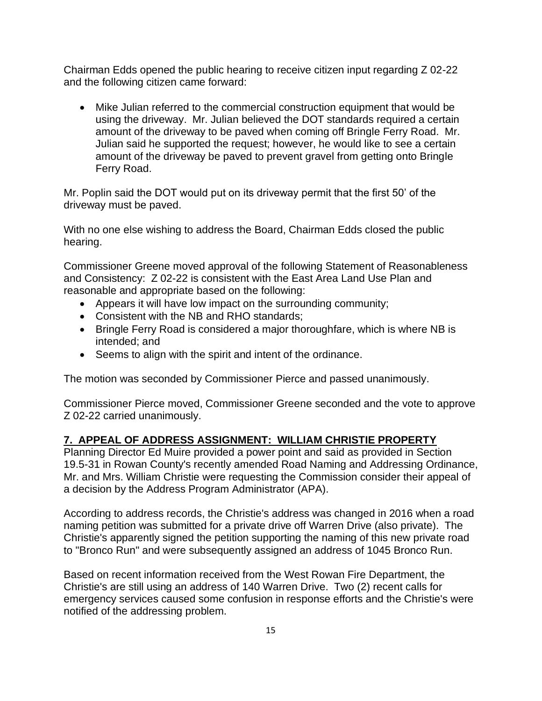Chairman Edds opened the public hearing to receive citizen input regarding Z 02-22 and the following citizen came forward:

• Mike Julian referred to the commercial construction equipment that would be using the driveway. Mr. Julian believed the DOT standards required a certain amount of the driveway to be paved when coming off Bringle Ferry Road. Mr. Julian said he supported the request; however, he would like to see a certain amount of the driveway be paved to prevent gravel from getting onto Bringle Ferry Road.

Mr. Poplin said the DOT would put on its driveway permit that the first 50' of the driveway must be paved.

With no one else wishing to address the Board, Chairman Edds closed the public hearing.

Commissioner Greene moved approval of the following Statement of Reasonableness and Consistency: Z 02-22 is consistent with the East Area Land Use Plan and reasonable and appropriate based on the following:

- Appears it will have low impact on the surrounding community;
- Consistent with the NB and RHO standards;
- Bringle Ferry Road is considered a major thoroughfare, which is where NB is intended; and
- Seems to align with the spirit and intent of the ordinance.

The motion was seconded by Commissioner Pierce and passed unanimously.

Commissioner Pierce moved, Commissioner Greene seconded and the vote to approve Z 02-22 carried unanimously.

## **7. APPEAL OF ADDRESS ASSIGNMENT: WILLIAM CHRISTIE PROPERTY**

Planning Director Ed Muire provided a power point and said as provided in Section 19.5-31 in Rowan County's recently amended Road Naming and Addressing Ordinance, Mr. and Mrs. William Christie were requesting the Commission consider their appeal of a decision by the Address Program Administrator (APA).

According to address records, the Christie's address was changed in 2016 when a road naming petition was submitted for a private drive off Warren Drive (also private). The Christie's apparently signed the petition supporting the naming of this new private road to "Bronco Run" and were subsequently assigned an address of 1045 Bronco Run.

Based on recent information received from the West Rowan Fire Department, the Christie's are still using an address of 140 Warren Drive. Two (2) recent calls for emergency services caused some confusion in response efforts and the Christie's were notified of the addressing problem.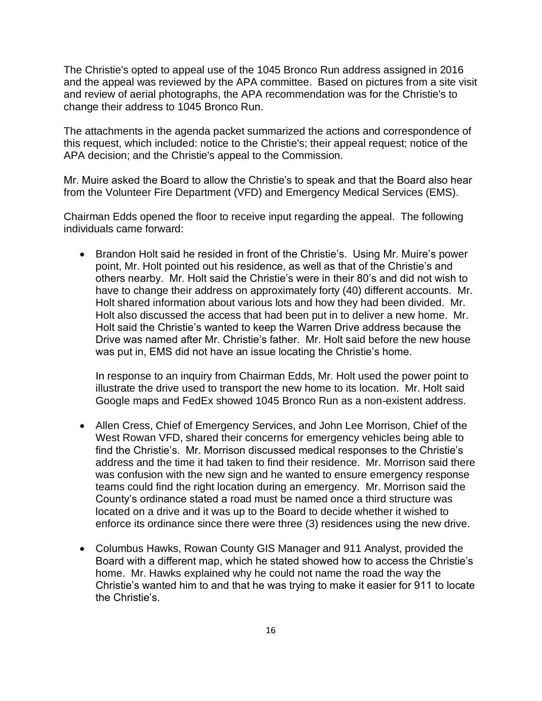The Christie's opted to appeal use of the 1045 Bronco Run address assigned in 2016 and the appeal was reviewed by the APA committee. Based on pictures from a site visit and review of aerial photographs, the APA recommendation was for the Christie's to change their address to 1045 Bronco Run.

The attachments in the agenda packet summarized the actions and correspondence of this request, which included: notice to the Christie's; their appeal request; notice of the APA decision; and the Christie's appeal to the Commission.

Mr. Muire asked the Board to allow the Christie's to speak and that the Board also hear from the Volunteer Fire Department (VFD) and Emergency Medical Services (EMS).

Chairman Edds opened the floor to receive input regarding the appeal. The following individuals came forward:

• Brandon Holt said he resided in front of the Christie's. Using Mr. Muire's power point, Mr. Holt pointed out his residence, as well as that of the Christie's and others nearby. Mr. Holt said the Christie's were in their 80's and did not wish to have to change their address on approximately forty (40) different accounts. Mr. Holt shared information about various lots and how they had been divided. Mr. Holt also discussed the access that had been put in to deliver a new home. Mr. Holt said the Christie's wanted to keep the Warren Drive address because the Drive was named after Mr. Christie's father. Mr. Holt said before the new house was put in, EMS did not have an issue locating the Christie's home.

In response to an inquiry from Chairman Edds, Mr. Holt used the power point to illustrate the drive used to transport the new home to its location. Mr. Holt said Google maps and FedEx showed 1045 Bronco Run as a non-existent address.

- Allen Cress, Chief of Emergency Services, and John Lee Morrison, Chief of the West Rowan VFD, shared their concerns for emergency vehicles being able to find the Christie's. Mr. Morrison discussed medical responses to the Christie's address and the time it had taken to find their residence. Mr. Morrison said there was confusion with the new sign and he wanted to ensure emergency response teams could find the right location during an emergency. Mr. Morrison said the County's ordinance stated a road must be named once a third structure was located on a drive and it was up to the Board to decide whether it wished to enforce its ordinance since there were three (3) residences using the new drive.
- Columbus Hawks, Rowan County GIS Manager and 911 Analyst, provided the Board with a different map, which he stated showed how to access the Christie's home. Mr. Hawks explained why he could not name the road the way the Christie's wanted him to and that he was trying to make it easier for 911 to locate the Christie's.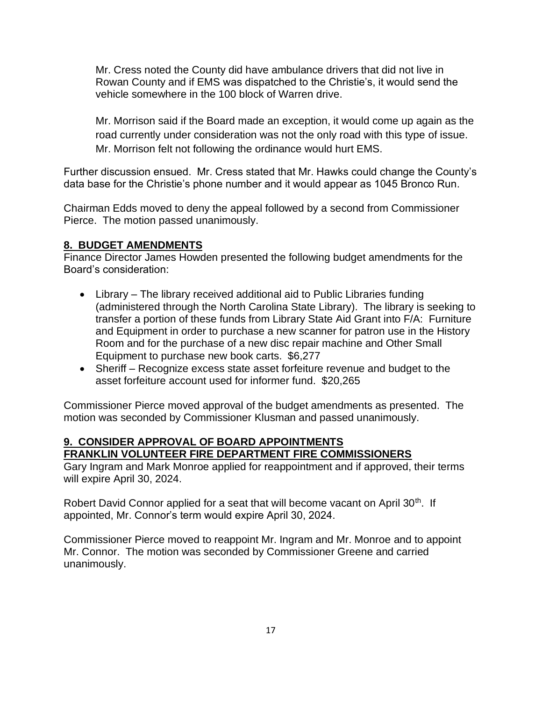Mr. Cress noted the County did have ambulance drivers that did not live in Rowan County and if EMS was dispatched to the Christie's, it would send the vehicle somewhere in the 100 block of Warren drive.

Mr. Morrison said if the Board made an exception, it would come up again as the road currently under consideration was not the only road with this type of issue. Mr. Morrison felt not following the ordinance would hurt EMS.

Further discussion ensued. Mr. Cress stated that Mr. Hawks could change the County's data base for the Christie's phone number and it would appear as 1045 Bronco Run.

Chairman Edds moved to deny the appeal followed by a second from Commissioner Pierce. The motion passed unanimously.

## **8. BUDGET AMENDMENTS**

Finance Director James Howden presented the following budget amendments for the Board's consideration:

- Library The library received additional aid to Public Libraries funding (administered through the North Carolina State Library). The library is seeking to transfer a portion of these funds from Library State Aid Grant into F/A: Furniture and Equipment in order to purchase a new scanner for patron use in the History Room and for the purchase of a new disc repair machine and Other Small Equipment to purchase new book carts. \$6,277
- Sheriff Recognize excess state asset forfeiture revenue and budget to the asset forfeiture account used for informer fund. \$20,265

Commissioner Pierce moved approval of the budget amendments as presented. The motion was seconded by Commissioner Klusman and passed unanimously.

### **9. CONSIDER APPROVAL OF BOARD APPOINTMENTS FRANKLIN VOLUNTEER FIRE DEPARTMENT FIRE COMMISSIONERS**

Gary Ingram and Mark Monroe applied for reappointment and if approved, their terms will expire April 30, 2024.

Robert David Connor applied for a seat that will become vacant on April 30<sup>th</sup>. If appointed, Mr. Connor's term would expire April 30, 2024.

Commissioner Pierce moved to reappoint Mr. Ingram and Mr. Monroe and to appoint Mr. Connor. The motion was seconded by Commissioner Greene and carried unanimously.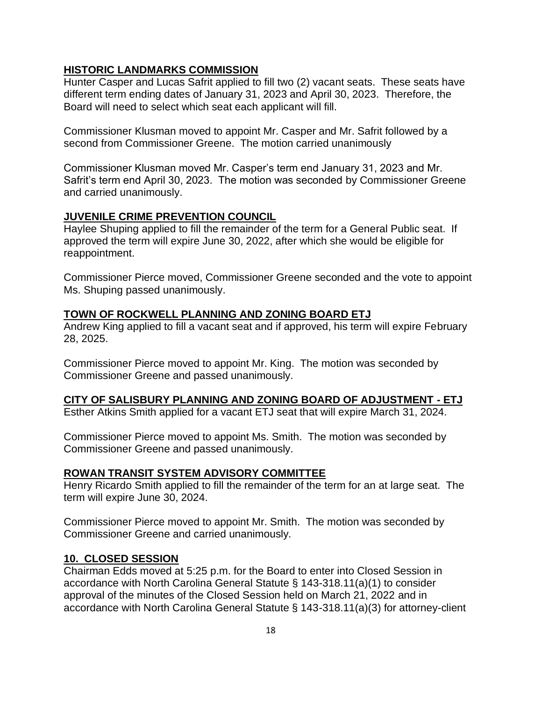### **HISTORIC LANDMARKS COMMISSION**

Hunter Casper and Lucas Safrit applied to fill two (2) vacant seats. These seats have different term ending dates of January 31, 2023 and April 30, 2023. Therefore, the Board will need to select which seat each applicant will fill.

Commissioner Klusman moved to appoint Mr. Casper and Mr. Safrit followed by a second from Commissioner Greene. The motion carried unanimously

Commissioner Klusman moved Mr. Casper's term end January 31, 2023 and Mr. Safrit's term end April 30, 2023. The motion was seconded by Commissioner Greene and carried unanimously.

### **JUVENILE CRIME PREVENTION COUNCIL**

Haylee Shuping applied to fill the remainder of the term for a General Public seat. If approved the term will expire June 30, 2022, after which she would be eligible for reappointment.

Commissioner Pierce moved, Commissioner Greene seconded and the vote to appoint Ms. Shuping passed unanimously.

### **TOWN OF ROCKWELL PLANNING AND ZONING BOARD ETJ**

Andrew King applied to fill a vacant seat and if approved, his term will expire February 28, 2025.

Commissioner Pierce moved to appoint Mr. King. The motion was seconded by Commissioner Greene and passed unanimously.

### **CITY OF SALISBURY PLANNING AND ZONING BOARD OF ADJUSTMENT - ETJ**

Esther Atkins Smith applied for a vacant ETJ seat that will expire March 31, 2024.

Commissioner Pierce moved to appoint Ms. Smith. The motion was seconded by Commissioner Greene and passed unanimously.

### **ROWAN TRANSIT SYSTEM ADVISORY COMMITTEE**

Henry Ricardo Smith applied to fill the remainder of the term for an at large seat. The term will expire June 30, 2024.

Commissioner Pierce moved to appoint Mr. Smith. The motion was seconded by Commissioner Greene and carried unanimously.

### **10. CLOSED SESSION**

Chairman Edds moved at 5:25 p.m. for the Board to enter into Closed Session in accordance with North Carolina General Statute § 143-318.11(a)(1) to consider approval of the minutes of the Closed Session held on March 21, 2022 and in accordance with North Carolina General Statute § 143-318.11(a)(3) for attorney-client